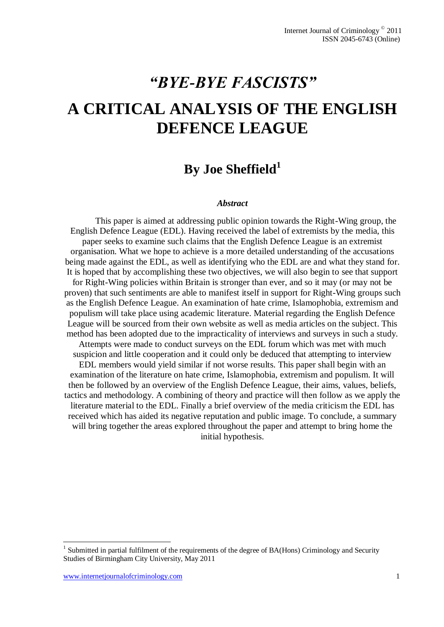# *"BYE-BYE FASCISTS"* **A CRITICAL ANALYSIS OF THE ENGLISH DEFENCE LEAGUE**

# **By Joe Sheffield<sup>1</sup>**

#### *Abstract*

This paper is aimed at addressing public opinion towards the Right-Wing group, the English Defence League (EDL). Having received the label of extremists by the media, this paper seeks to examine such claims that the English Defence League is an extremist organisation. What we hope to achieve is a more detailed understanding of the accusations being made against the EDL, as well as identifying who the EDL are and what they stand for. It is hoped that by accomplishing these two objectives, we will also begin to see that support for Right-Wing policies within Britain is stronger than ever, and so it may (or may not be proven) that such sentiments are able to manifest itself in support for Right-Wing groups such as the English Defence League. An examination of hate crime, Islamophobia, extremism and populism will take place using academic literature. Material regarding the English Defence League will be sourced from their own website as well as media articles on the subject. This method has been adopted due to the impracticality of interviews and surveys in such a study. Attempts were made to conduct surveys on the EDL forum which was met with much suspicion and little cooperation and it could only be deduced that attempting to interview EDL members would yield similar if not worse results. This paper shall begin with an examination of the literature on hate crime, Islamophobia, extremism and populism. It will then be followed by an overview of the English Defence League, their aims, values, beliefs, tactics and methodology. A combining of theory and practice will then follow as we apply the literature material to the EDL. Finally a brief overview of the media criticism the EDL has received which has aided its negative reputation and public image. To conclude, a summary will bring together the areas explored throughout the paper and attempt to bring home the initial hypothesis.

 $\overline{a}$ 

<sup>&</sup>lt;sup>1</sup> Submitted in partial fulfilment of the requirements of the degree of BA(Hons) Criminology and Security Studies of Birmingham City University, May 2011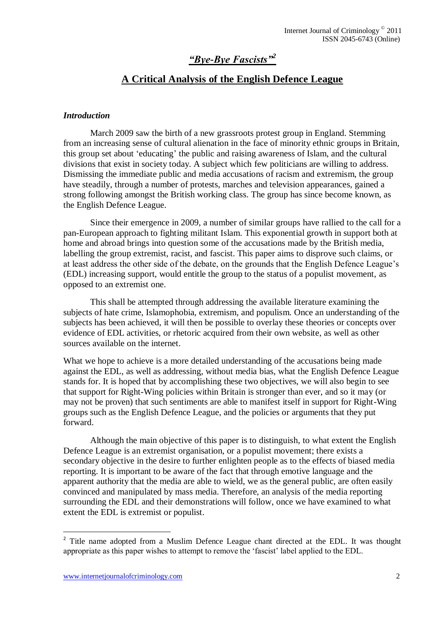# *"Bye-Bye Fascists"<sup>2</sup>*

# **A Critical Analysis of the English Defence League**

#### *Introduction*

March 2009 saw the birth of a new grassroots protest group in England. Stemming from an increasing sense of cultural alienation in the face of minority ethnic groups in Britain, this group set about "educating" the public and raising awareness of Islam, and the cultural divisions that exist in society today. A subject which few politicians are willing to address. Dismissing the immediate public and media accusations of racism and extremism, the group have steadily, through a number of protests, marches and television appearances, gained a strong following amongst the British working class. The group has since become known, as the English Defence League.

Since their emergence in 2009, a number of similar groups have rallied to the call for a pan-European approach to fighting militant Islam. This exponential growth in support both at home and abroad brings into question some of the accusations made by the British media, labelling the group extremist, racist, and fascist. This paper aims to disprove such claims, or at least address the other side of the debate, on the grounds that the English Defence League"s (EDL) increasing support, would entitle the group to the status of a populist movement, as opposed to an extremist one.

This shall be attempted through addressing the available literature examining the subjects of hate crime, Islamophobia, extremism, and populism. Once an understanding of the subjects has been achieved, it will then be possible to overlay these theories or concepts over evidence of EDL activities, or rhetoric acquired from their own website, as well as other sources available on the internet.

What we hope to achieve is a more detailed understanding of the accusations being made against the EDL, as well as addressing, without media bias, what the English Defence League stands for. It is hoped that by accomplishing these two objectives, we will also begin to see that support for Right-Wing policies within Britain is stronger than ever, and so it may (or may not be proven) that such sentiments are able to manifest itself in support for Right-Wing groups such as the English Defence League, and the policies or arguments that they put forward.

Although the main objective of this paper is to distinguish, to what extent the English Defence League is an extremist organisation, or a populist movement; there exists a secondary objective in the desire to further enlighten people as to the effects of biased media reporting. It is important to be aware of the fact that through emotive language and the apparent authority that the media are able to wield, we as the general public, are often easily convinced and manipulated by mass media. Therefore, an analysis of the media reporting surrounding the EDL and their demonstrations will follow, once we have examined to what extent the EDL is extremist or populist.

 $\overline{a}$ 

<sup>&</sup>lt;sup>2</sup> Title name adopted from a Muslim Defence League chant directed at the EDL. It was thought appropriate as this paper wishes to attempt to remove the "fascist" label applied to the EDL.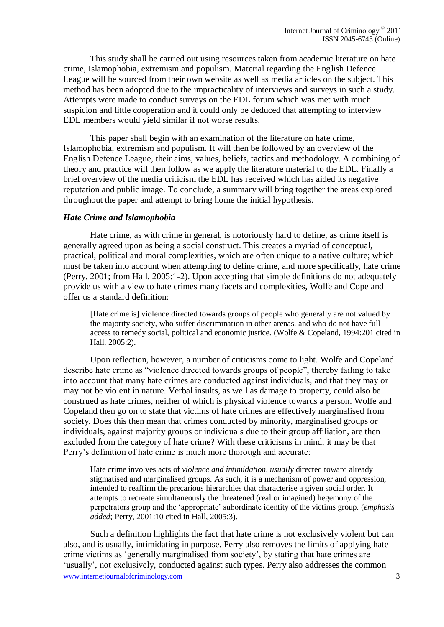This study shall be carried out using resources taken from academic literature on hate crime, Islamophobia, extremism and populism. Material regarding the English Defence League will be sourced from their own website as well as media articles on the subject. This method has been adopted due to the impracticality of interviews and surveys in such a study. Attempts were made to conduct surveys on the EDL forum which was met with much suspicion and little cooperation and it could only be deduced that attempting to interview EDL members would yield similar if not worse results.

This paper shall begin with an examination of the literature on hate crime, Islamophobia, extremism and populism. It will then be followed by an overview of the English Defence League, their aims, values, beliefs, tactics and methodology. A combining of theory and practice will then follow as we apply the literature material to the EDL. Finally a brief overview of the media criticism the EDL has received which has aided its negative reputation and public image. To conclude, a summary will bring together the areas explored throughout the paper and attempt to bring home the initial hypothesis.

#### *Hate Crime and Islamophobia*

Hate crime, as with crime in general, is notoriously hard to define, as crime itself is generally agreed upon as being a social construct. This creates a myriad of conceptual, practical, political and moral complexities, which are often unique to a native culture; which must be taken into account when attempting to define crime, and more specifically, hate crime (Perry, 2001; from Hall, 2005:1-2). Upon accepting that simple definitions do not adequately provide us with a view to hate crimes many facets and complexities, Wolfe and Copeland offer us a standard definition:

[Hate crime is] violence directed towards groups of people who generally are not valued by the majority society, who suffer discrimination in other arenas, and who do not have full access to remedy social, political and economic justice. (Wolfe & Copeland, 1994:201 cited in Hall, 2005:2).

Upon reflection, however, a number of criticisms come to light. Wolfe and Copeland describe hate crime as "violence directed towards groups of people", thereby failing to take into account that many hate crimes are conducted against individuals, and that they may or may not be violent in nature. Verbal insults, as well as damage to property, could also be construed as hate crimes, neither of which is physical violence towards a person. Wolfe and Copeland then go on to state that victims of hate crimes are effectively marginalised from society. Does this then mean that crimes conducted by minority, marginalised groups or individuals, against majority groups or individuals due to their group affiliation, are then excluded from the category of hate crime? With these criticisms in mind, it may be that Perry"s definition of hate crime is much more thorough and accurate:

Hate crime involves acts of *violence and intimidation*, *usually* directed toward already stigmatised and marginalised groups. As such, it is a mechanism of power and oppression, intended to reaffirm the precarious hierarchies that characterise a given social order. It attempts to recreate simultaneously the threatened (real or imagined) hegemony of the perpetrators group and the "appropriate" subordinate identity of the victims group. (*emphasis added*; Perry, 2001:10 cited in Hall, 2005:3).

www.internetiournalofcriminology.com 3 Such a definition highlights the fact that hate crime is not exclusively violent but can also, and is usually, intimidating in purpose. Perry also removes the limits of applying hate crime victims as "generally marginalised from society", by stating that hate crimes are 'usually', not exclusively, conducted against such types. Perry also addresses the common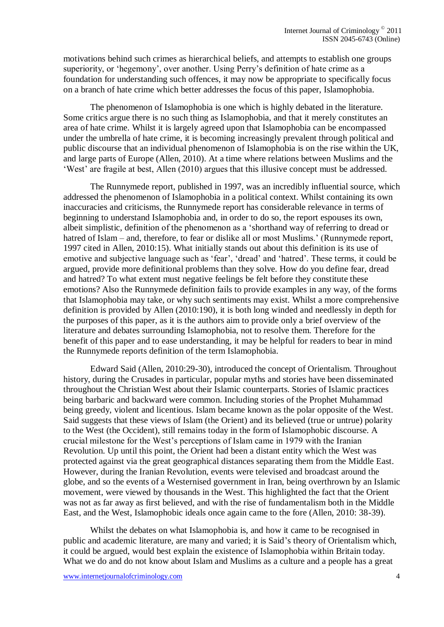motivations behind such crimes as hierarchical beliefs, and attempts to establish one groups superiority, or 'hegemony', over another. Using Perry's definition of hate crime as a foundation for understanding such offences, it may now be appropriate to specifically focus on a branch of hate crime which better addresses the focus of this paper, Islamophobia.

The phenomenon of Islamophobia is one which is highly debated in the literature. Some critics argue there is no such thing as Islamophobia, and that it merely constitutes an area of hate crime. Whilst it is largely agreed upon that Islamophobia can be encompassed under the umbrella of hate crime, it is becoming increasingly prevalent through political and public discourse that an individual phenomenon of Islamophobia is on the rise within the UK, and large parts of Europe (Allen, 2010). At a time where relations between Muslims and the "West" are fragile at best, Allen (2010) argues that this illusive concept must be addressed.

The Runnymede report, published in 1997, was an incredibly influential source, which addressed the phenomenon of Islamophobia in a political context. Whilst containing its own inaccuracies and criticisms, the Runnymede report has considerable relevance in terms of beginning to understand Islamophobia and, in order to do so, the report espouses its own, albeit simplistic, definition of the phenomenon as a "shorthand way of referring to dread or hatred of Islam – and, therefore, to fear or dislike all or most Muslims.' (Runnymede report, 1997 cited in Allen, 2010:15). What initially stands out about this definition is its use of emotive and subjective language such as 'fear', 'dread' and 'hatred'. These terms, it could be argued, provide more definitional problems than they solve. How do you define fear, dread and hatred? To what extent must negative feelings be felt before they constitute these emotions? Also the Runnymede definition fails to provide examples in any way, of the forms that Islamophobia may take, or why such sentiments may exist. Whilst a more comprehensive definition is provided by Allen (2010:190), it is both long winded and needlessly in depth for the purposes of this paper, as it is the authors aim to provide only a brief overview of the literature and debates surrounding Islamophobia, not to resolve them. Therefore for the benefit of this paper and to ease understanding, it may be helpful for readers to bear in mind the Runnymede reports definition of the term Islamophobia.

Edward Said (Allen, 2010:29-30), introduced the concept of Orientalism. Throughout history, during the Crusades in particular, popular myths and stories have been disseminated throughout the Christian West about their Islamic counterparts. Stories of Islamic practices being barbaric and backward were common. Including stories of the Prophet Muhammad being greedy, violent and licentious. Islam became known as the polar opposite of the West. Said suggests that these views of Islam (the Orient) and its believed (true or untrue) polarity to the West (the Occident), still remains today in the form of Islamophobic discourse. A crucial milestone for the West"s perceptions of Islam came in 1979 with the Iranian Revolution. Up until this point, the Orient had been a distant entity which the West was protected against via the great geographical distances separating them from the Middle East. However, during the Iranian Revolution, events were televised and broadcast around the globe, and so the events of a Westernised government in Iran, being overthrown by an Islamic movement, were viewed by thousands in the West. This highlighted the fact that the Orient was not as far away as first believed, and with the rise of fundamentalism both in the Middle East, and the West, Islamophobic ideals once again came to the fore (Allen, 2010: 38-39).

Whilst the debates on what Islamophobia is, and how it came to be recognised in public and academic literature, are many and varied; it is Said"s theory of Orientalism which, it could be argued, would best explain the existence of Islamophobia within Britain today. What we do and do not know about Islam and Muslims as a culture and a people has a great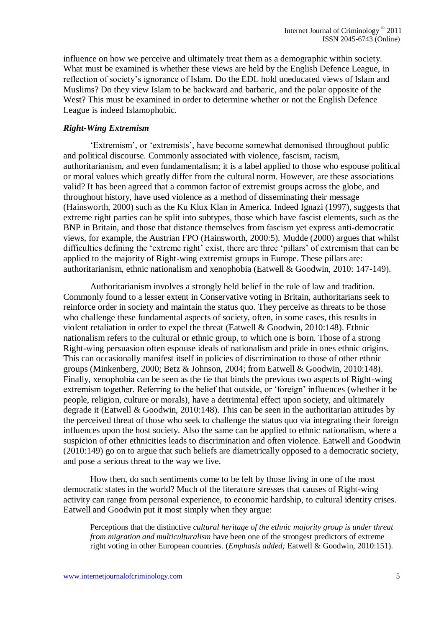influence on how we perceive and ultimately treat them as a demographic within society. What must be examined is whether these views are held by the English Defence League, in reflection of society"s ignorance of Islam. Do the EDL hold uneducated views of Islam and Muslims? Do they view Islam to be backward and barbaric, and the polar opposite of the West? This must be examined in order to determine whether or not the English Defence League is indeed Islamophobic.

# *Right-Wing Extremism*

"Extremism", or "extremists", have become somewhat demonised throughout public and political discourse. Commonly associated with violence, fascism, racism, authoritarianism, and even fundamentalism; it is a label applied to those who espouse political or moral values which greatly differ from the cultural norm. However, are these associations valid? It has been agreed that a common factor of extremist groups across the globe, and throughout history, have used violence as a method of disseminating their message (Hainsworth, 2000) such as the Ku Klux Klan in America. Indeed Ignazi (1997), suggests that extreme right parties can be split into subtypes, those which have fascist elements, such as the BNP in Britain, and those that distance themselves from fascism yet express anti-democratic views, for example, the Austrian FPO (Hainsworth, 2000:5). Mudde (2000) argues that whilst difficulties defining the 'extreme right' exist, there are three 'pillars' of extremism that can be applied to the majority of Right-wing extremist groups in Europe. These pillars are: authoritarianism, ethnic nationalism and xenophobia (Eatwell & Goodwin, 2010: 147-149).

Authoritarianism involves a strongly held belief in the rule of law and tradition. Commonly found to a lesser extent in Conservative voting in Britain, authoritarians seek to reinforce order in society and maintain the status quo. They perceive as threats to be those who challenge these fundamental aspects of society, often, in some cases, this results in violent retaliation in order to expel the threat (Eatwell & Goodwin, 2010:148). Ethnic nationalism refers to the cultural or ethnic group, to which one is born. Those of a strong Right-wing persuasion often espouse ideals of nationalism and pride in ones ethnic origins. This can occasionally manifest itself in policies of discrimination to those of other ethnic groups (Minkenberg, 2000; Betz & Johnson, 2004; from Eatwell & Goodwin, 2010:148). Finally, xenophobia can be seen as the tie that binds the previous two aspects of Right-wing extremism together. Referring to the belief that outside, or "foreign" influences (whether it be people, religion, culture or morals), have a detrimental effect upon society, and ultimately degrade it (Eatwell & Goodwin, 2010:148). This can be seen in the authoritarian attitudes by the perceived threat of those who seek to challenge the status quo via integrating their foreign influences upon the host society. Also the same can be applied to ethnic nationalism, where a suspicion of other ethnicities leads to discrimination and often violence. Eatwell and Goodwin (2010:149) go on to argue that such beliefs are diametrically opposed to a democratic society, and pose a serious threat to the way we live.

How then, do such sentiments come to be felt by those living in one of the most democratic states in the world? Much of the literature stresses that causes of Right-wing activity can range from personal experience, to economic hardship, to cultural identity crises. Eatwell and Goodwin put it most simply when they argue:

Perceptions that the distinctive *cultural heritage of the ethnic majority group is under threat from migration and multiculturalism* have been one of the strongest predictors of extreme right voting in other European countries. (*Emphasis added;* Eatwell & Goodwin, 2010:151).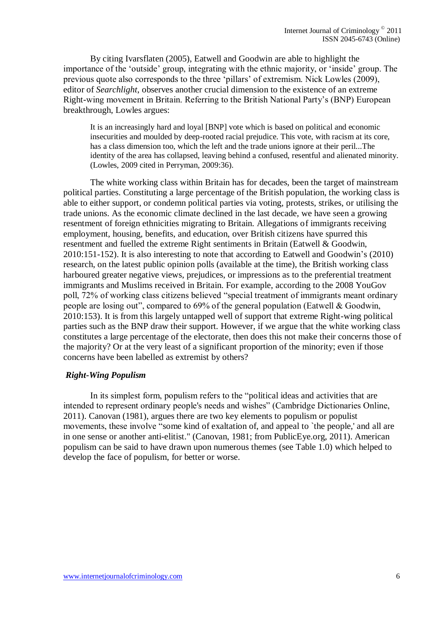By citing Ivarsflaten (2005), Eatwell and Goodwin are able to highlight the importance of the "outside" group, integrating with the ethnic majority, or "inside" group. The previous quote also corresponds to the three "pillars" of extremism. Nick Lowles (2009), editor of *Searchlight*, observes another crucial dimension to the existence of an extreme Right-wing movement in Britain. Referring to the British National Party"s (BNP) European breakthrough, Lowles argues:

It is an increasingly hard and loyal [BNP] vote which is based on political and economic insecurities and moulded by deep-rooted racial prejudice. This vote, with racism at its core, has a class dimension too, which the left and the trade unions ignore at their peril...The identity of the area has collapsed, leaving behind a confused, resentful and alienated minority. (Lowles, 2009 cited in Perryman, 2009:36).

The white working class within Britain has for decades, been the target of mainstream political parties. Constituting a large percentage of the British population, the working class is able to either support, or condemn political parties via voting, protests, strikes, or utilising the trade unions. As the economic climate declined in the last decade, we have seen a growing resentment of foreign ethnicities migrating to Britain. Allegations of immigrants receiving employment, housing, benefits, and education, over British citizens have spurred this resentment and fuelled the extreme Right sentiments in Britain (Eatwell & Goodwin, 2010:151-152). It is also interesting to note that according to Eatwell and Goodwin"s (2010) research, on the latest public opinion polls (available at the time), the British working class harboured greater negative views, prejudices, or impressions as to the preferential treatment immigrants and Muslims received in Britain. For example, according to the 2008 YouGov poll, 72% of working class citizens believed "special treatment of immigrants meant ordinary people are losing out", compared to 69% of the general population (Eatwell & Goodwin, 2010:153). It is from this largely untapped well of support that extreme Right-wing political parties such as the BNP draw their support. However, if we argue that the white working class constitutes a large percentage of the electorate, then does this not make their concerns those of the majority? Or at the very least of a significant proportion of the minority; even if those concerns have been labelled as extremist by others?

#### *Right-Wing Populism*

In its simplest form, populism refers to the "political ideas and activities that are intended to represent ordinary people's needs and wishes" (Cambridge Dictionaries Online, 2011). Canovan (1981), argues there are two key elements to populism or populist movements, these involve "some kind of exaltation of, and appeal to `the people,' and all are in one sense or another anti-elitist." (Canovan, 1981; from PublicEye.org, 2011). American populism can be said to have drawn upon numerous themes (see Table 1.0) which helped to develop the face of populism, for better or worse.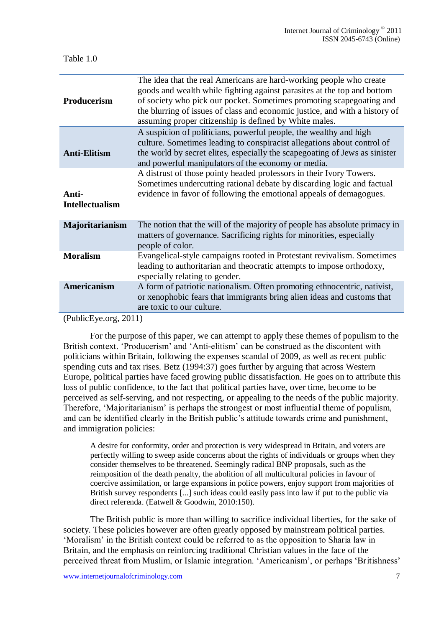| <b>Producerism</b>                                                                               | The idea that the real Americans are hard-working people who create<br>goods and wealth while fighting against parasites at the top and bottom<br>of society who pick our pocket. Sometimes promoting scapegoating and<br>the blurring of issues of class and economic justice, and with a history of<br>assuming proper citizenship is defined by White males. |
|--------------------------------------------------------------------------------------------------|-----------------------------------------------------------------------------------------------------------------------------------------------------------------------------------------------------------------------------------------------------------------------------------------------------------------------------------------------------------------|
| <b>Anti-Elitism</b>                                                                              | A suspicion of politicians, powerful people, the wealthy and high<br>culture. Sometimes leading to conspiracist allegations about control of<br>the world by secret elites, especially the scapegoating of Jews as sinister<br>and powerful manipulators of the economy or media.                                                                               |
| Anti-<br><b>Intellectualism</b>                                                                  | A distrust of those pointy headed professors in their Ivory Towers.<br>Sometimes undercutting rational debate by discarding logic and factual<br>evidence in favor of following the emotional appeals of demagogues.                                                                                                                                            |
| Majoritarianism                                                                                  | The notion that the will of the majority of people has absolute primacy in<br>matters of governance. Sacrificing rights for minorities, especially<br>people of color.                                                                                                                                                                                          |
| <b>Moralism</b>                                                                                  | Evangelical-style campaigns rooted in Protestant revivalism. Sometimes<br>leading to authoritarian and theocratic attempts to impose orthodoxy,<br>especially relating to gender.                                                                                                                                                                               |
| <b>Americanism</b>                                                                               | A form of patriotic nationalism. Often promoting ethnocentric, nativist,<br>or xenophobic fears that immigrants bring alien ideas and customs that<br>are toxic to our culture.                                                                                                                                                                                 |
| $(D_{\mathbf{v}}\mathbf{h}\mathbf{L}_{\mathbf{v}}\mathbf{L}_{\mathbf{v}}\mathbf{L}_{\mathbf{v}}$ |                                                                                                                                                                                                                                                                                                                                                                 |

(PublicEye.org, 2011)

For the purpose of this paper, we can attempt to apply these themes of populism to the British context. 'Producerism' and 'Anti-elitism' can be construed as the discontent with politicians within Britain, following the expenses scandal of 2009, as well as recent public spending cuts and tax rises. Betz (1994:37) goes further by arguing that across Western Europe, political parties have faced growing public dissatisfaction. He goes on to attribute this loss of public confidence, to the fact that political parties have, over time, become to be perceived as self-serving, and not respecting, or appealing to the needs of the public majority. Therefore, "Majoritarianism" is perhaps the strongest or most influential theme of populism, and can be identified clearly in the British public's attitude towards crime and punishment, and immigration policies:

A desire for conformity, order and protection is very widespread in Britain, and voters are perfectly willing to sweep aside concerns about the rights of individuals or groups when they consider themselves to be threatened. Seemingly radical BNP proposals, such as the reimposition of the death penalty, the abolition of all multicultural policies in favour of coercive assimilation, or large expansions in police powers, enjoy support from majorities of British survey respondents [...] such ideas could easily pass into law if put to the public via direct referenda. (Eatwell & Goodwin, 2010:150).

The British public is more than willing to sacrifice individual liberties, for the sake of society. These policies however are often greatly opposed by mainstream political parties. "Moralism" in the British context could be referred to as the opposition to Sharia law in Britain, and the emphasis on reinforcing traditional Christian values in the face of the perceived threat from Muslim, or Islamic integration. "Americanism", or perhaps "Britishness"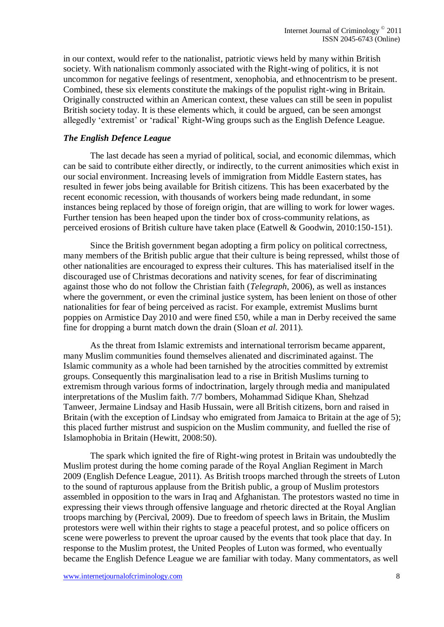in our context, would refer to the nationalist, patriotic views held by many within British society. With nationalism commonly associated with the Right-wing of politics, it is not uncommon for negative feelings of resentment, xenophobia, and ethnocentrism to be present. Combined, these six elements constitute the makings of the populist right-wing in Britain. Originally constructed within an American context, these values can still be seen in populist British society today. It is these elements which, it could be argued, can be seen amongst allegedly "extremist" or "radical" Right-Wing groups such as the English Defence League.

#### *The English Defence League*

The last decade has seen a myriad of political, social, and economic dilemmas, which can be said to contribute either directly, or indirectly, to the current animosities which exist in our social environment. Increasing levels of immigration from Middle Eastern states, has resulted in fewer jobs being available for British citizens. This has been exacerbated by the recent economic recession, with thousands of workers being made redundant, in some instances being replaced by those of foreign origin, that are willing to work for lower wages. Further tension has been heaped upon the tinder box of cross-community relations, as perceived erosions of British culture have taken place (Eatwell & Goodwin, 2010:150-151).

Since the British government began adopting a firm policy on political correctness, many members of the British public argue that their culture is being repressed, whilst those of other nationalities are encouraged to express their cultures. This has materialised itself in the discouraged use of Christmas decorations and nativity scenes, for fear of discriminating against those who do not follow the Christian faith (*Telegraph*, 2006), as well as instances where the government, or even the criminal justice system, has been lenient on those of other nationalities for fear of being perceived as racist. For example, extremist Muslims burnt poppies on Armistice Day 2010 and were fined £50, while a man in Derby received the same fine for dropping a burnt match down the drain (Sloan *et al.* 2011).

As the threat from Islamic extremists and international terrorism became apparent, many Muslim communities found themselves alienated and discriminated against. The Islamic community as a whole had been tarnished by the atrocities committed by extremist groups. Consequently this marginalisation lead to a rise in British Muslims turning to extremism through various forms of indoctrination, largely through media and manipulated interpretations of the Muslim faith. 7/7 bombers, Mohammad Sidique Khan, Shehzad Tanweer, Jermaine Lindsay and Hasib Hussain, were all British citizens, born and raised in Britain (with the exception of Lindsay who emigrated from Jamaica to Britain at the age of 5); this placed further mistrust and suspicion on the Muslim community, and fuelled the rise of Islamophobia in Britain (Hewitt, 2008:50).

The spark which ignited the fire of Right-wing protest in Britain was undoubtedly the Muslim protest during the home coming parade of the Royal Anglian Regiment in March 2009 (English Defence League, 2011). As British troops marched through the streets of Luton to the sound of rapturous applause from the British public, a group of Muslim protestors assembled in opposition to the wars in Iraq and Afghanistan. The protestors wasted no time in expressing their views through offensive language and rhetoric directed at the Royal Anglian troops marching by (Percival, 2009). Due to freedom of speech laws in Britain, the Muslim protestors were well within their rights to stage a peaceful protest, and so police officers on scene were powerless to prevent the uproar caused by the events that took place that day. In response to the Muslim protest, the United Peoples of Luton was formed, who eventually became the English Defence League we are familiar with today. Many commentators, as well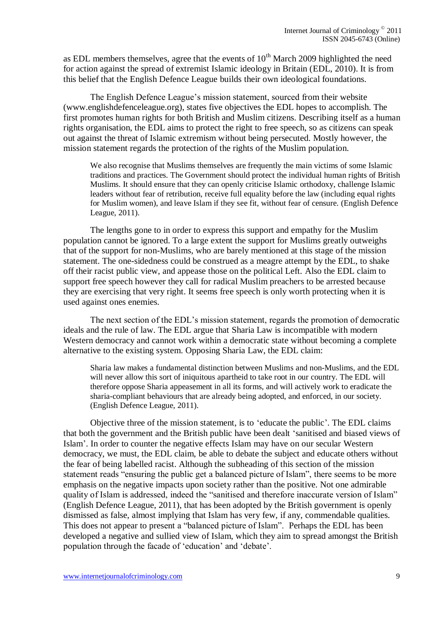as EDL members themselves, agree that the events of  $10<sup>th</sup>$  March 2009 highlighted the need for action against the spread of extremist Islamic ideology in Britain (EDL, 2010). It is from this belief that the English Defence League builds their own ideological foundations.

The English Defence League"s mission statement, sourced from their website [\(www.englishdefenceleague.org\)](http://www.englishdefenceleague.org/), states five objectives the EDL hopes to accomplish. The first promotes human rights for both British and Muslim citizens. Describing itself as a human rights organisation, the EDL aims to protect the right to free speech, so as citizens can speak out against the threat of Islamic extremism without being persecuted. Mostly however, the mission statement regards the protection of the rights of the Muslim population.

We also recognise that Muslims themselves are frequently the main victims of some Islamic traditions and practices. The Government should protect the individual human rights of British Muslims. It should ensure that they can openly criticise Islamic orthodoxy, challenge Islamic leaders without fear of retribution, receive full equality before the law (including equal rights for Muslim women), and leave Islam if they see fit, without fear of censure. (English Defence League, 2011).

The lengths gone to in order to express this support and empathy for the Muslim population cannot be ignored. To a large extent the support for Muslims greatly outweighs that of the support for non-Muslims, who are barely mentioned at this stage of the mission statement. The one-sidedness could be construed as a meagre attempt by the EDL, to shake off their racist public view, and appease those on the political Left. Also the EDL claim to support free speech however they call for radical Muslim preachers to be arrested because they are exercising that very right. It seems free speech is only worth protecting when it is used against ones enemies.

The next section of the EDL"s mission statement, regards the promotion of democratic ideals and the rule of law. The EDL argue that Sharia Law is incompatible with modern Western democracy and cannot work within a democratic state without becoming a complete alternative to the existing system. Opposing Sharia Law, the EDL claim:

Sharia law makes a fundamental distinction between Muslims and non-Muslims, and the EDL will never allow this sort of iniquitous apartheid to take root in our country. The EDL will therefore oppose Sharia appeasement in all its forms, and will actively work to eradicate the sharia-compliant behaviours that are already being adopted, and enforced, in our society. (English Defence League, 2011).

Objective three of the mission statement, is to "educate the public". The EDL claims that both the government and the British public have been dealt "sanitised and biased views of Islam". In order to counter the negative effects Islam may have on our secular Western democracy, we must, the EDL claim, be able to debate the subject and educate others without the fear of being labelled racist. Although the subheading of this section of the mission statement reads "ensuring the public get a balanced picture of Islam", there seems to be more emphasis on the negative impacts upon society rather than the positive. Not one admirable quality of Islam is addressed, indeed the "sanitised and therefore inaccurate version of Islam" (English Defence League, 2011), that has been adopted by the British government is openly dismissed as false, almost implying that Islam has very few, if any, commendable qualities. This does not appear to present a "balanced picture of Islam". Perhaps the EDL has been developed a negative and sullied view of Islam, which they aim to spread amongst the British population through the facade of "education" and "debate".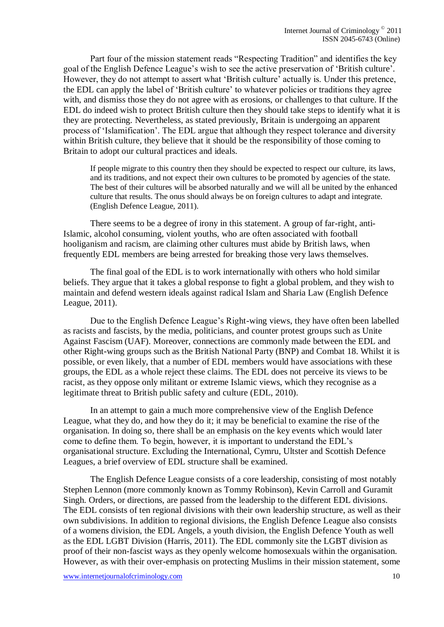Part four of the mission statement reads "Respecting Tradition" and identifies the key goal of the English Defence League's wish to see the active preservation of 'British culture'. However, they do not attempt to assert what 'British culture' actually is. Under this pretence, the EDL can apply the label of "British culture" to whatever policies or traditions they agree with, and dismiss those they do not agree with as erosions, or challenges to that culture. If the EDL do indeed wish to protect British culture then they should take steps to identify what it is they are protecting. Nevertheless, as stated previously, Britain is undergoing an apparent process of "Islamification". The EDL argue that although they respect tolerance and diversity within British culture, they believe that it should be the responsibility of those coming to Britain to adopt our cultural practices and ideals.

If people migrate to this country then they should be expected to respect our culture, its laws, and its traditions, and not expect their own cultures to be promoted by agencies of the state. The best of their cultures will be absorbed naturally and we will all be united by the enhanced culture that results. The onus should always be on foreign cultures to adapt and integrate. (English Defence League, 2011).

There seems to be a degree of irony in this statement. A group of far-right, anti-Islamic, alcohol consuming, violent youths, who are often associated with football hooliganism and racism, are claiming other cultures must abide by British laws, when frequently EDL members are being arrested for breaking those very laws themselves.

The final goal of the EDL is to work internationally with others who hold similar beliefs. They argue that it takes a global response to fight a global problem, and they wish to maintain and defend western ideals against radical Islam and Sharia Law (English Defence League, 2011).

Due to the English Defence League's Right-wing views, they have often been labelled as racists and fascists, by the media, politicians, and counter protest groups such as Unite Against Fascism (UAF). Moreover, connections are commonly made between the EDL and other Right-wing groups such as the British National Party (BNP) and Combat 18. Whilst it is possible, or even likely, that a number of EDL members would have associations with these groups, the EDL as a whole reject these claims. The EDL does not perceive its views to be racist, as they oppose only militant or extreme Islamic views, which they recognise as a legitimate threat to British public safety and culture (EDL, 2010).

In an attempt to gain a much more comprehensive view of the English Defence League, what they do, and how they do it; it may be beneficial to examine the rise of the organisation. In doing so, there shall be an emphasis on the key events which would later come to define them. To begin, however, it is important to understand the EDL"s organisational structure. Excluding the International, Cymru, Ultster and Scottish Defence Leagues, a brief overview of EDL structure shall be examined.

The English Defence League consists of a core leadership, consisting of most notably Stephen Lennon (more commonly known as Tommy Robinson), Kevin Carroll and Guramit Singh. Orders, or directions, are passed from the leadership to the different EDL divisions. The EDL consists of ten regional divisions with their own leadership structure, as well as their own subdivisions. In addition to regional divisions, the English Defence League also consists of a womens division, the EDL Angels, a youth division, the English Defence Youth as well as the EDL LGBT Division (Harris, 2011). The EDL commonly site the LGBT division as proof of their non-fascist ways as they openly welcome homosexuals within the organisation. However, as with their over-emphasis on protecting Muslims in their mission statement, some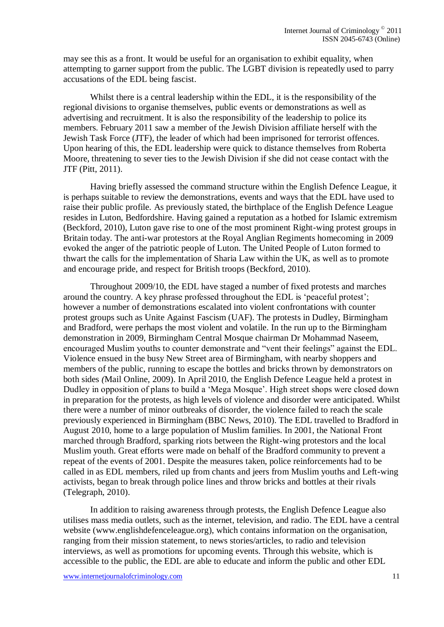may see this as a front. It would be useful for an organisation to exhibit equality, when attempting to garner support from the public. The LGBT division is repeatedly used to parry accusations of the EDL being fascist.

Whilst there is a central leadership within the EDL, it is the responsibility of the regional divisions to organise themselves, public events or demonstrations as well as advertising and recruitment. It is also the responsibility of the leadership to police its members. February 2011 saw a member of the Jewish Division affiliate herself with the Jewish Task Force (JTF), the leader of which had been imprisoned for terrorist offences. Upon hearing of this, the EDL leadership were quick to distance themselves from Roberta Moore, threatening to sever ties to the Jewish Division if she did not cease contact with the JTF (Pitt, 2011).

Having briefly assessed the command structure within the English Defence League, it is perhaps suitable to review the demonstrations, events and ways that the EDL have used to raise their public profile. As previously stated, the birthplace of the English Defence League resides in Luton, Bedfordshire. Having gained a reputation as a hotbed for Islamic extremism (Beckford, 2010), Luton gave rise to one of the most prominent Right-wing protest groups in Britain today. The anti-war protestors at the Royal Anglian Regiments homecoming in 2009 evoked the anger of the patriotic people of Luton. The United People of Luton formed to thwart the calls for the implementation of Sharia Law within the UK, as well as to promote and encourage pride, and respect for British troops (Beckford, 2010).

Throughout 2009/10, the EDL have staged a number of fixed protests and marches around the country. A key phrase professed throughout the EDL is "peaceful protest"; however a number of demonstrations escalated into violent confrontations with counter protest groups such as Unite Against Fascism (UAF). The protests in Dudley, Birmingham and Bradford, were perhaps the most violent and volatile. In the run up to the Birmingham demonstration in 2009, Birmingham Central Mosque chairman Dr Mohammad Naseem, encouraged Muslim youths to counter demonstrate and "vent their feelings" against the EDL. Violence ensued in the busy New Street area of Birmingham, with nearby shoppers and members of the public, running to escape the bottles and bricks thrown by demonstrators on both sides *(*Mail Online, 2009). In April 2010, the English Defence League held a protest in Dudley in opposition of plans to build a "Mega Mosque". High street shops were closed down in preparation for the protests, as high levels of violence and disorder were anticipated. Whilst there were a number of minor outbreaks of disorder, the violence failed to reach the scale previously experienced in Birmingham (BBC News, 2010). The EDL travelled to Bradford in August 2010, home to a large population of Muslim families. In 2001, the National Front marched through Bradford, sparking riots between the Right-wing protestors and the local Muslim youth. Great efforts were made on behalf of the Bradford community to prevent a repeat of the events of 2001. Despite the measures taken, police reinforcements had to be called in as EDL members, riled up from chants and jeers from Muslim youths and Left-wing activists, began to break through police lines and throw bricks and bottles at their rivals (Telegraph, 2010).

In addition to raising awareness through protests, the English Defence League also utilises mass media outlets, such as the internet, television, and radio. The EDL have a central website [\(www.englishdefenceleague.org\)](http://www.englishdefenceleague.org/), which contains information on the organisation, ranging from their mission statement, to news stories/articles, to radio and television interviews, as well as promotions for upcoming events. Through this website, which is accessible to the public, the EDL are able to educate and inform the public and other EDL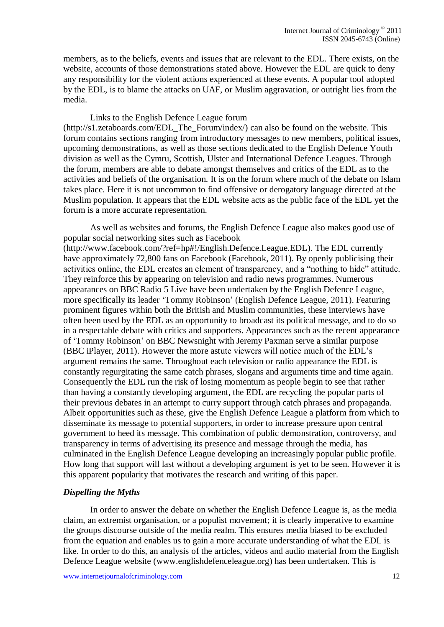members, as to the beliefs, events and issues that are relevant to the EDL. There exists, on the website, accounts of those demonstrations stated above. However the EDL are quick to deny any responsibility for the violent actions experienced at these events. A popular tool adopted by the EDL, is to blame the attacks on UAF, or Muslim aggravation, or outright lies from the media.

Links to the English Defence League forum  $(\text{http://s1.zetaboards.com/EDL}$  The Forum/index/) can also be found on the website. This forum contains sections ranging from introductory messages to new members, political issues, upcoming demonstrations, as well as those sections dedicated to the English Defence Youth division as well as the Cymru, Scottish, Ulster and International Defence Leagues. Through the forum, members are able to debate amongst themselves and critics of the EDL as to the activities and beliefs of the organisation. It is on the forum where much of the debate on Islam takes place. Here it is not uncommon to find offensive or derogatory language directed at the Muslim population. It appears that the EDL website acts as the public face of the EDL yet the

forum is a more accurate representation.

As well as websites and forums, the English Defence League also makes good use of popular social networking sites such as Facebook [\(http://www.facebook.com/?ref=hp#!/English.Defence.League.EDL\)](http://www.facebook.com/?ref=hp#!/English.Defence.League.EDL). The EDL currently have approximately 72,800 fans on Facebook (Facebook, 2011). By openly publicising their activities online, the EDL creates an element of transparency, and a "nothing to hide" attitude. They reinforce this by appearing on television and radio news programmes. Numerous appearances on BBC Radio 5 Live have been undertaken by the English Defence League, more specifically its leader "Tommy Robinson" (English Defence League*,* 2011). Featuring prominent figures within both the British and Muslim communities, these interviews have often been used by the EDL as an opportunity to broadcast its political message, and to do so in a respectable debate with critics and supporters. Appearances such as the recent appearance of "Tommy Robinson" on BBC Newsnight with Jeremy Paxman serve a similar purpose (BBC iPlayer, 2011). However the more astute viewers will notice much of the EDL"s argument remains the same. Throughout each television or radio appearance the EDL is constantly regurgitating the same catch phrases, slogans and arguments time and time again. Consequently the EDL run the risk of losing momentum as people begin to see that rather than having a constantly developing argument, the EDL are recycling the popular parts of their previous debates in an attempt to curry support through catch phrases and propaganda. Albeit opportunities such as these, give the English Defence League a platform from which to disseminate its message to potential supporters, in order to increase pressure upon central government to heed its message. This combination of public demonstration, controversy, and transparency in terms of advertising its presence and message through the media, has culminated in the English Defence League developing an increasingly popular public profile. How long that support will last without a developing argument is yet to be seen. However it is this apparent popularity that motivates the research and writing of this paper.

#### *Dispelling the Myths*

In order to answer the debate on whether the English Defence League is, as the media claim, an extremist organisation, or a populist movement; it is clearly imperative to examine the groups discourse outside of the media realm. This ensures media biased to be excluded from the equation and enables us to gain a more accurate understanding of what the EDL is like. In order to do this, an analysis of the articles, videos and audio material from the English Defence League website [\(www.englishdefenceleague.org\)](http://www.englishdefenceleague.org/) has been undertaken. This is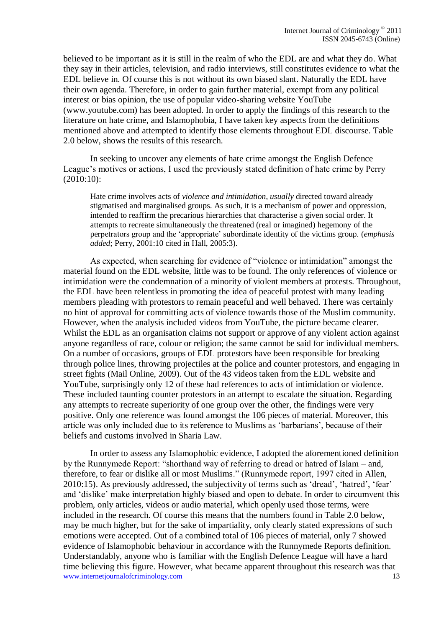believed to be important as it is still in the realm of who the EDL are and what they do. What they say in their articles, television, and radio interviews, still constitutes evidence to what the EDL believe in. Of course this is not without its own biased slant. Naturally the EDL have their own agenda. Therefore, in order to gain further material, exempt from any political interest or bias opinion, the use of popular video-sharing website YouTube [\(www.youtube.com\)](http://www.youtube.com/) has been adopted. In order to apply the findings of this research to the literature on hate crime, and Islamophobia, I have taken key aspects from the definitions mentioned above and attempted to identify those elements throughout EDL discourse. Table 2.0 below, shows the results of this research.

In seeking to uncover any elements of hate crime amongst the English Defence League"s motives or actions, I used the previously stated definition of hate crime by Perry (2010:10):

Hate crime involves acts of *violence and intimidation*, *usually* directed toward already stigmatised and marginalised groups. As such, it is a mechanism of power and oppression, intended to reaffirm the precarious hierarchies that characterise a given social order. It attempts to recreate simultaneously the threatened (real or imagined) hegemony of the perpetrators group and the "appropriate" subordinate identity of the victims group. (*emphasis added*; Perry, 2001:10 cited in Hall, 2005:3).

As expected, when searching for evidence of "violence or intimidation" amongst the material found on the EDL website, little was to be found. The only references of violence or intimidation were the condemnation of a minority of violent members at protests. Throughout, the EDL have been relentless in promoting the idea of peaceful protest with many leading members pleading with protestors to remain peaceful and well behaved. There was certainly no hint of approval for committing acts of violence towards those of the Muslim community. However, when the analysis included videos from YouTube, the picture became clearer. Whilst the EDL as an organisation claims not support or approve of any violent action against anyone regardless of race, colour or religion; the same cannot be said for individual members. On a number of occasions, groups of EDL protestors have been responsible for breaking through police lines, throwing projectiles at the police and counter protestors, and engaging in street fights (Mail Online, 2009). Out of the 43 videos taken from the EDL website and YouTube, surprisingly only 12 of these had references to acts of intimidation or violence. These included taunting counter protestors in an attempt to escalate the situation. Regarding any attempts to recreate superiority of one group over the other, the findings were very positive. Only one reference was found amongst the 106 pieces of material. Moreover, this article was only included due to its reference to Muslims as "barbarians", because of their beliefs and customs involved in Sharia Law.

www.internetjournalofcriminology.com 13 In order to assess any Islamophobic evidence, I adopted the aforementioned definition by the Runnymede Report: "shorthand way of referring to dread or hatred of Islam – and, therefore, to fear or dislike all or most Muslims." (Runnymede report, 1997 cited in Allen, 2010:15). As previously addressed, the subjectivity of terms such as "dread", "hatred", "fear" and "dislike" make interpretation highly biased and open to debate. In order to circumvent this problem, only articles, videos or audio material, which openly used those terms, were included in the research. Of course this means that the numbers found in Table 2.0 below, may be much higher, but for the sake of impartiality, only clearly stated expressions of such emotions were accepted. Out of a combined total of 106 pieces of material, only 7 showed evidence of Islamophobic behaviour in accordance with the Runnymede Reports definition. Understandably, anyone who is familiar with the English Defence League will have a hard time believing this figure. However, what became apparent throughout this research was that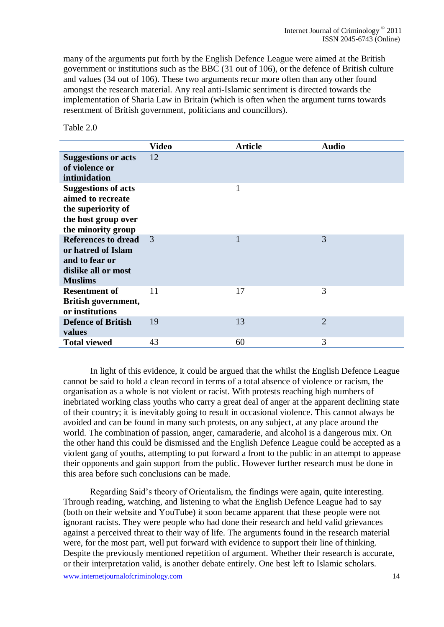many of the arguments put forth by the English Defence League were aimed at the British government or institutions such as the BBC (31 out of 106), or the defence of British culture and values (34 out of 106). These two arguments recur more often than any other found amongst the research material. Any real anti-Islamic sentiment is directed towards the implementation of Sharia Law in Britain (which is often when the argument turns towards resentment of British government, politicians and councillors).

#### Table 2.0

|                                                                                                                    | <b>Video</b> | <b>Article</b> | <b>Audio</b>   |
|--------------------------------------------------------------------------------------------------------------------|--------------|----------------|----------------|
| <b>Suggestions or acts</b><br>of violence or<br>intimidation                                                       | 12           |                |                |
| <b>Suggestions of acts</b><br>aimed to recreate<br>the superiority of<br>the host group over<br>the minority group |              | $\mathbf{1}$   |                |
| <b>References to dread</b><br>or hatred of Islam<br>and to fear or<br>dislike all or most<br><b>Muslims</b>        | 3            | 1              | 3              |
| <b>Resentment of</b><br>British government,<br>or institutions                                                     | 11           | 17             | 3              |
| <b>Defence of British</b><br>values                                                                                | 19           | 13             | $\overline{2}$ |
| <b>Total viewed</b>                                                                                                | 43           | 60             | 3              |

In light of this evidence, it could be argued that the whilst the English Defence League cannot be said to hold a clean record in terms of a total absence of violence or racism, the organisation as a whole is not violent or racist. With protests reaching high numbers of inebriated working class youths who carry a great deal of anger at the apparent declining state of their country; it is inevitably going to result in occasional violence. This cannot always be avoided and can be found in many such protests, on any subject, at any place around the world. The combination of passion, anger, camaraderie, and alcohol is a dangerous mix. On the other hand this could be dismissed and the English Defence League could be accepted as a violent gang of youths, attempting to put forward a front to the public in an attempt to appease their opponents and gain support from the public. However further research must be done in this area before such conclusions can be made.

Regarding Said"s theory of Orientalism, the findings were again, quite interesting. Through reading, watching, and listening to what the English Defence League had to say (both on their website and YouTube) it soon became apparent that these people were not ignorant racists. They were people who had done their research and held valid grievances against a perceived threat to their way of life. The arguments found in the research material were, for the most part, well put forward with evidence to support their line of thinking. Despite the previously mentioned repetition of argument. Whether their research is accurate, or their interpretation valid, is another debate entirely. One best left to Islamic scholars.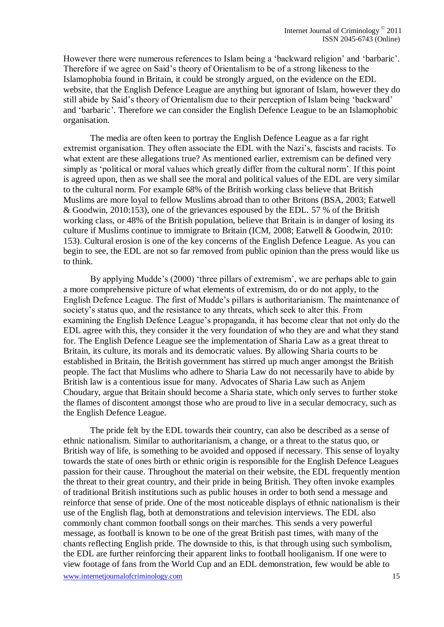However there were numerous references to Islam being a 'backward religion' and 'barbaric'. Therefore if we agree on Said"s theory of Orientalism to be of a strong likeness to the Islamophobia found in Britain, it could be strongly argued, on the evidence on the EDL website, that the English Defence League are anything but ignorant of Islam, however they do still abide by Said"s theory of Orientalism due to their perception of Islam being "backward" and "barbaric". Therefore we can consider the English Defence League to be an Islamophobic organisation.

The media are often keen to portray the English Defence League as a far right extremist organisation. They often associate the EDL with the Nazi"s, fascists and racists. To what extent are these allegations true? As mentioned earlier, extremism can be defined very simply as 'political or moral values which greatly differ from the cultural norm'. If this point is agreed upon, then as we shall see the moral and political values of the EDL are very similar to the cultural norm. For example 68% of the British working class believe that British Muslims are more loyal to fellow Muslims abroad than to other Britons (BSA, 2003; Eatwell & Goodwin, 2010:153), one of the grievances espoused by the EDL. 57 % of the British working class, or 48% of the British population, believe that Britain is in danger of losing its culture if Muslims continue to immigrate to Britain (ICM, 2008; Eatwell & Goodwin, 2010: 153). Cultural erosion is one of the key concerns of the English Defence League. As you can begin to see, the EDL are not so far removed from public opinion than the press would like us to think.

By applying Mudde's (2000) 'three pillars of extremism', we are perhaps able to gain a more comprehensive picture of what elements of extremism, do or do not apply, to the English Defence League. The first of Mudde"s pillars is authoritarianism. The maintenance of society's status quo, and the resistance to any threats, which seek to alter this. From examining the English Defence League"s propaganda, it has become clear that not only do the EDL agree with this, they consider it the very foundation of who they are and what they stand for. The English Defence League see the implementation of Sharia Law as a great threat to Britain, its culture, its morals and its democratic values. By allowing Sharia courts to be established in Britain, the British government has stirred up much anger amongst the British people. The fact that Muslims who adhere to Sharia Law do not necessarily have to abide by British law is a contentious issue for many. Advocates of Sharia Law such as Anjem Choudary, argue that Britain should become a Sharia state, which only serves to further stoke the flames of discontent amongst those who are proud to live in a secular democracy, such as the English Defence League.

The pride felt by the EDL towards their country, can also be described as a sense of ethnic nationalism. Similar to authoritarianism, a change, or a threat to the status quo, or British way of life, is something to be avoided and opposed if necessary. This sense of loyalty towards the state of ones birth or ethnic origin is responsible for the English Defence Leagues passion for their cause. Throughout the material on their website, the EDL frequently mention the threat to their great country, and their pride in being British. They often invoke examples of traditional British institutions such as public houses in order to both send a message and reinforce that sense of pride. One of the most noticeable displays of ethnic nationalism is their use of the English flag, both at demonstrations and television interviews. The EDL also commonly chant common football songs on their marches. This sends a very powerful message, as football is known to be one of the great British past times, with many of the chants reflecting English pride. The downside to this, is that through using such symbolism, the EDL are further reinforcing their apparent links to football hooliganism. If one were to view footage of fans from the World Cup and an EDL demonstration, few would be able to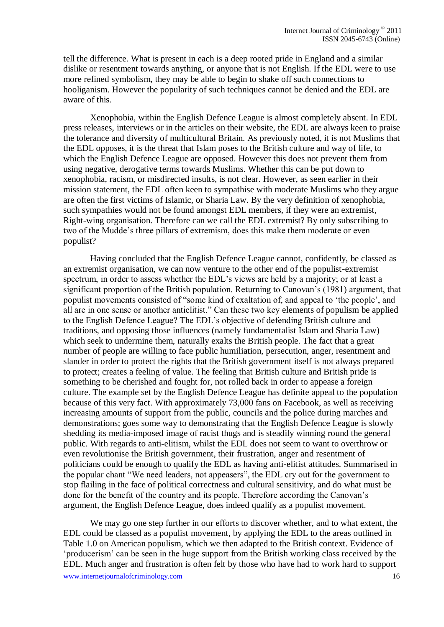tell the difference. What is present in each is a deep rooted pride in England and a similar dislike or resentment towards anything, or anyone that is not English. If the EDL were to use more refined symbolism, they may be able to begin to shake off such connections to hooliganism. However the popularity of such techniques cannot be denied and the EDL are aware of this.

Xenophobia, within the English Defence League is almost completely absent. In EDL press releases, interviews or in the articles on their website, the EDL are always keen to praise the tolerance and diversity of multicultural Britain. As previously noted, it is not Muslims that the EDL opposes, it is the threat that Islam poses to the British culture and way of life, to which the English Defence League are opposed. However this does not prevent them from using negative, derogative terms towards Muslims. Whether this can be put down to xenophobia, racism, or misdirected insults, is not clear. However, as seen earlier in their mission statement, the EDL often keen to sympathise with moderate Muslims who they argue are often the first victims of Islamic, or Sharia Law. By the very definition of xenophobia, such sympathies would not be found amongst EDL members, if they were an extremist, Right-wing organisation. Therefore can we call the EDL extremist? By only subscribing to two of the Mudde"s three pillars of extremism, does this make them moderate or even populist?

Having concluded that the English Defence League cannot, confidently, be classed as an extremist organisation, we can now venture to the other end of the populist-extremist spectrum, in order to assess whether the EDL's views are held by a majority; or at least a significant proportion of the British population. Returning to Canovan"s (1981) argument, that populist movements consisted of "some kind of exaltation of, and appeal to "the people", and all are in one sense or another antielitist." Can these two key elements of populism be applied to the English Defence League? The EDL"s objective of defending British culture and traditions, and opposing those influences (namely fundamentalist Islam and Sharia Law) which seek to undermine them, naturally exalts the British people. The fact that a great number of people are willing to face public humiliation, persecution, anger, resentment and slander in order to protect the rights that the British government itself is not always prepared to protect; creates a feeling of value. The feeling that British culture and British pride is something to be cherished and fought for, not rolled back in order to appease a foreign culture. The example set by the English Defence League has definite appeal to the population because of this very fact. With approximately 73,000 fans on Facebook, as well as receiving increasing amounts of support from the public, councils and the police during marches and demonstrations; goes some way to demonstrating that the English Defence League is slowly shedding its media-imposed image of racist thugs and is steadily winning round the general public. With regards to anti-elitism, whilst the EDL does not seem to want to overthrow or even revolutionise the British government, their frustration, anger and resentment of politicians could be enough to qualify the EDL as having anti-elitist attitudes. Summarised in the popular chant "We need leaders, not appeasers", the EDL cry out for the government to stop flailing in the face of political correctness and cultural sensitivity, and do what must be done for the benefit of the country and its people. Therefore according the Canovan"s argument, the English Defence League, does indeed qualify as a populist movement.

www.internetjournalofcriminology.com 16 We may go one step further in our efforts to discover whether, and to what extent, the EDL could be classed as a populist movement, by applying the EDL to the areas outlined in Table 1.0 on American populism, which we then adapted to the British context. Evidence of "producerism" can be seen in the huge support from the British working class received by the EDL. Much anger and frustration is often felt by those who have had to work hard to support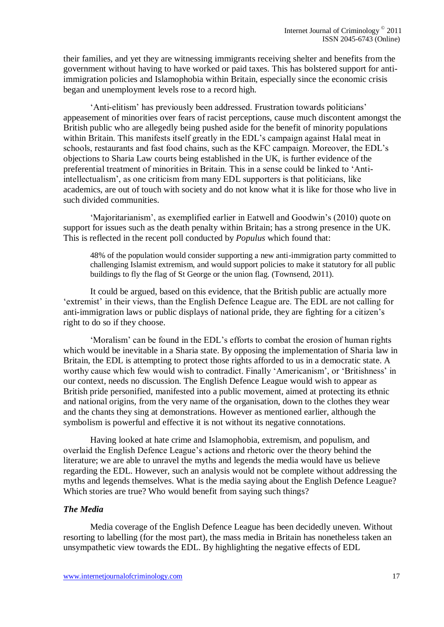their families, and yet they are witnessing immigrants receiving shelter and benefits from the government without having to have worked or paid taxes. This has bolstered support for antiimmigration policies and Islamophobia within Britain, especially since the economic crisis began and unemployment levels rose to a record high.

'Anti-elitism' has previously been addressed. Frustration towards politicians' appeasement of minorities over fears of racist perceptions, cause much discontent amongst the British public who are allegedly being pushed aside for the benefit of minority populations within Britain. This manifests itself greatly in the EDL's campaign against Halal meat in schools, restaurants and fast food chains, such as the KFC campaign. Moreover, the EDL"s objections to Sharia Law courts being established in the UK, is further evidence of the preferential treatment of minorities in Britain. This in a sense could be linked to "Antiintellectualism", as one criticism from many EDL supporters is that politicians, like academics, are out of touch with society and do not know what it is like for those who live in such divided communities.

'Majoritarianism', as exemplified earlier in Eatwell and Goodwin's (2010) quote on support for issues such as the death penalty within Britain; has a strong presence in the UK. This is reflected in the recent poll conducted by *Populus* which found that:

48% of the population would consider supporting a new anti-immigration party committed to challenging Islamist extremism, and would support policies to make it statutory for all public buildings to fly the flag of St George or the union flag. (Townsend, 2011).

It could be argued, based on this evidence, that the British public are actually more 'extremist' in their views, than the English Defence League are. The EDL are not calling for anti-immigration laws or public displays of national pride, they are fighting for a citizen"s right to do so if they choose.

"Moralism" can be found in the EDL"s efforts to combat the erosion of human rights which would be inevitable in a Sharia state. By opposing the implementation of Sharia law in Britain, the EDL is attempting to protect those rights afforded to us in a democratic state. A worthy cause which few would wish to contradict. Finally 'Americanism', or 'Britishness' in our context, needs no discussion. The English Defence League would wish to appear as British pride personified, manifested into a public movement, aimed at protecting its ethnic and national origins, from the very name of the organisation, down to the clothes they wear and the chants they sing at demonstrations. However as mentioned earlier, although the symbolism is powerful and effective it is not without its negative connotations.

Having looked at hate crime and Islamophobia, extremism, and populism, and overlaid the English Defence League"s actions and rhetoric over the theory behind the literature; we are able to unravel the myths and legends the media would have us believe regarding the EDL. However, such an analysis would not be complete without addressing the myths and legends themselves. What is the media saying about the English Defence League? Which stories are true? Who would benefit from saying such things?

## *The Media*

Media coverage of the English Defence League has been decidedly uneven. Without resorting to labelling (for the most part), the mass media in Britain has nonetheless taken an unsympathetic view towards the EDL. By highlighting the negative effects of EDL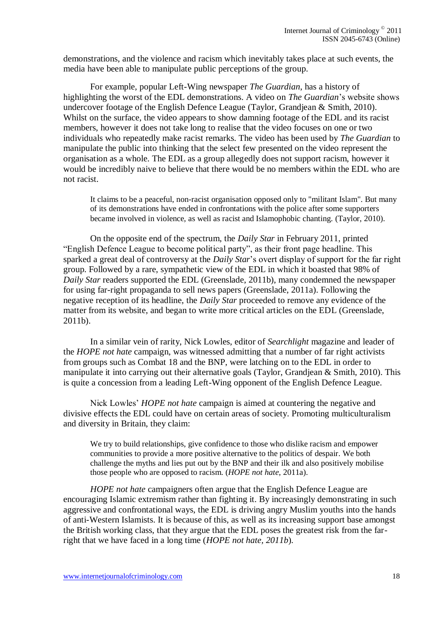demonstrations, and the violence and racism which inevitably takes place at such events, the media have been able to manipulate public perceptions of the group.

For example, popular Left-Wing newspaper *The Guardian*, has a history of highlighting the worst of the EDL demonstrations. A video on *The Guardian*"s website shows undercover footage of the English Defence League (Taylor, Grandjean & Smith, 2010). Whilst on the surface, the video appears to show damning footage of the EDL and its racist members, however it does not take long to realise that the video focuses on one or two individuals who repeatedly make racist remarks. The video has been used by *The Guardian* to manipulate the public into thinking that the select few presented on the video represent the organisation as a whole. The EDL as a group allegedly does not support racism, however it would be incredibly naive to believe that there would be no members within the EDL who are not racist.

It claims to be a peaceful, non-racist organisation opposed only to "militant Islam". But many of its demonstrations have ended in confrontations with the police after some supporters became involved in violence, as well as racist and Islamophobic chanting. (Taylor, 2010).

On the opposite end of the spectrum, the *Daily Star* in February 2011, printed "English Defence League to become political party", as their front page headline. This sparked a great deal of controversy at the *Daily Star*"s overt display of support for the far right group. Followed by a rare, sympathetic view of the EDL in which it boasted that 98% of *Daily Star* readers supported the EDL (Greenslade, 2011b), many condemned the newspaper for using far-right propaganda to sell news papers (Greenslade, 2011a). Following the negative reception of its headline, the *Daily Star* proceeded to remove any evidence of the matter from its website, and began to write more critical articles on the EDL (Greenslade, 2011b).

In a similar vein of rarity, Nick Lowles, editor of *Searchlight* magazine and leader of the *HOPE not hate* campaign, was witnessed admitting that a number of far right activists from groups such as Combat 18 and the BNP, were latching on to the EDL in order to manipulate it into carrying out their alternative goals (Taylor, Grandjean & Smith, 2010). This is quite a concession from a leading Left-Wing opponent of the English Defence League.

Nick Lowles" *HOPE not hate* campaign is aimed at countering the negative and divisive effects the EDL could have on certain areas of society. Promoting multiculturalism and diversity in Britain, they claim:

We try to build relationships, give confidence to those who dislike racism and empower communities to provide a more positive alternative to the politics of despair. We both challenge the myths and lies put out by the BNP and their ilk and also positively mobilise those people who are opposed to racism. (*HOPE not hate*, 2011a).

*HOPE not hate* campaigners often argue that the English Defence League are encouraging Islamic extremism rather than fighting it. By increasingly demonstrating in such aggressive and confrontational ways, the EDL is driving angry Muslim youths into the hands of anti-Western Islamists. It is because of this, as well as its increasing support base amongst the British working class, that they argue that the EDL poses the greatest risk from the farright that we have faced in a long time (*HOPE not hate, 2011b*).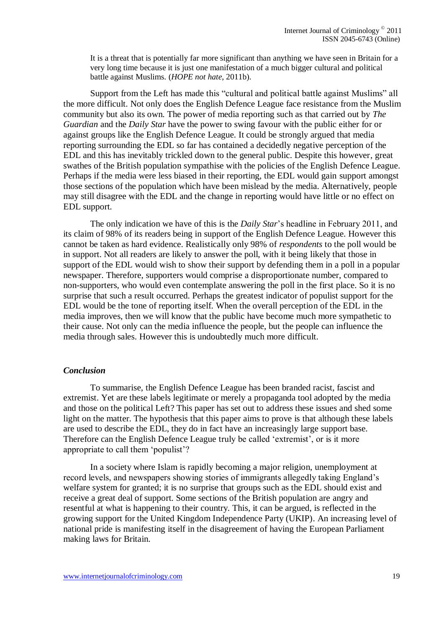It is a threat that is potentially far more significant than anything we have seen in Britain for a very long time because it is just one manifestation of a much bigger cultural and political battle against Muslims. (*HOPE not hate*, 2011b).

Support from the Left has made this "cultural and political battle against Muslims" all the more difficult. Not only does the English Defence League face resistance from the Muslim community but also its own. The power of media reporting such as that carried out by *The Guardian* and the *Daily Star* have the power to swing favour with the public either for or against groups like the English Defence League. It could be strongly argued that media reporting surrounding the EDL so far has contained a decidedly negative perception of the EDL and this has inevitably trickled down to the general public. Despite this however, great swathes of the British population sympathise with the policies of the English Defence League. Perhaps if the media were less biased in their reporting, the EDL would gain support amongst those sections of the population which have been mislead by the media. Alternatively, people may still disagree with the EDL and the change in reporting would have little or no effect on EDL support.

The only indication we have of this is the *Daily Star*"s headline in February 2011, and its claim of 98% of its readers being in support of the English Defence League. However this cannot be taken as hard evidence. Realistically only 98% of *respondents* to the poll would be in support. Not all readers are likely to answer the poll, with it being likely that those in support of the EDL would wish to show their support by defending them in a poll in a popular newspaper. Therefore, supporters would comprise a disproportionate number, compared to non-supporters, who would even contemplate answering the poll in the first place. So it is no surprise that such a result occurred. Perhaps the greatest indicator of populist support for the EDL would be the tone of reporting itself. When the overall perception of the EDL in the media improves, then we will know that the public have become much more sympathetic to their cause. Not only can the media influence the people, but the people can influence the media through sales. However this is undoubtedly much more difficult.

#### *Conclusion*

To summarise, the English Defence League has been branded racist, fascist and extremist. Yet are these labels legitimate or merely a propaganda tool adopted by the media and those on the political Left? This paper has set out to address these issues and shed some light on the matter. The hypothesis that this paper aims to prove is that although these labels are used to describe the EDL, they do in fact have an increasingly large support base. Therefore can the English Defence League truly be called 'extremist', or is it more appropriate to call them "populist"?

In a society where Islam is rapidly becoming a major religion, unemployment at record levels, and newspapers showing stories of immigrants allegedly taking England"s welfare system for granted; it is no surprise that groups such as the EDL should exist and receive a great deal of support. Some sections of the British population are angry and resentful at what is happening to their country. This, it can be argued, is reflected in the growing support for the United Kingdom Independence Party (UKIP). An increasing level of national pride is manifesting itself in the disagreement of having the European Parliament making laws for Britain.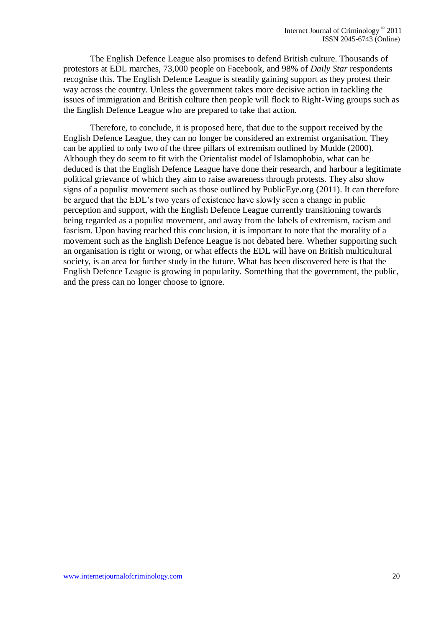The English Defence League also promises to defend British culture. Thousands of protestors at EDL marches, 73,000 people on Facebook, and 98% of *Daily Star* respondents recognise this. The English Defence League is steadily gaining support as they protest their way across the country. Unless the government takes more decisive action in tackling the issues of immigration and British culture then people will flock to Right-Wing groups such as the English Defence League who are prepared to take that action.

Therefore, to conclude, it is proposed here, that due to the support received by the English Defence League, they can no longer be considered an extremist organisation. They can be applied to only two of the three pillars of extremism outlined by Mudde (2000). Although they do seem to fit with the Orientalist model of Islamophobia, what can be deduced is that the English Defence League have done their research, and harbour a legitimate political grievance of which they aim to raise awareness through protests. They also show signs of a populist movement such as those outlined by PublicEye.org (2011). It can therefore be argued that the EDL"s two years of existence have slowly seen a change in public perception and support, with the English Defence League currently transitioning towards being regarded as a populist movement, and away from the labels of extremism, racism and fascism. Upon having reached this conclusion, it is important to note that the morality of a movement such as the English Defence League is not debated here. Whether supporting such an organisation is right or wrong, or what effects the EDL will have on British multicultural society, is an area for further study in the future. What has been discovered here is that the English Defence League is growing in popularity. Something that the government, the public, and the press can no longer choose to ignore.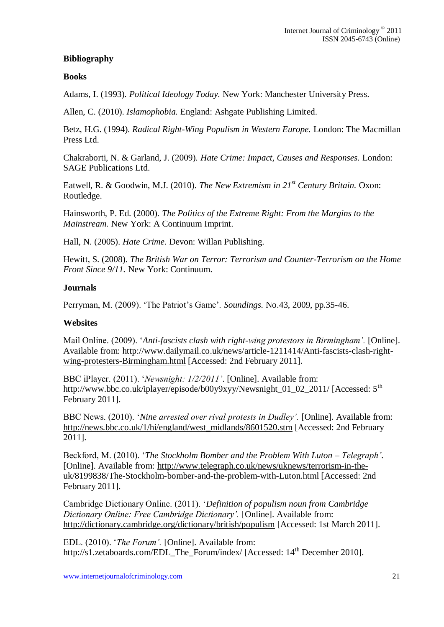# **Bibliography**

# **Books**

Adams, I. (1993). *Political Ideology Today.* New York: Manchester University Press.

Allen, C. (2010). *Islamophobia.* England: Ashgate Publishing Limited.

Betz, H.G. (1994). *Radical Right-Wing Populism in Western Europe.* London: The Macmillan Press Ltd.

Chakraborti, N. & Garland, J. (2009). *Hate Crime: Impact, Causes and Responses.* London: SAGE Publications Ltd.

Eatwell, R. & Goodwin, M.J. (2010). *The New Extremism in 21st Century Britain.* Oxon: Routledge.

Hainsworth, P. Ed. (2000). *The Politics of the Extreme Right: From the Margins to the Mainstream.* New York: A Continuum Imprint.

Hall, N. (2005). *Hate Crime.* Devon: Willan Publishing.

Hewitt, S. (2008). *The British War on Terror: Terrorism and Counter-Terrorism on the Home Front Since 9/11.* New York: Continuum.

## **Journals**

Perryman, M. (2009). "The Patriot"s Game". *Soundings.* No.43, 2009, pp.35-46.

#### **Websites**

Mail Online. (2009). "*Anti-fascists clash with right-wing protestors in Birmingham'.* [Online]. Available from: [http://www.dailymail.co.uk/news/article-1211414/Anti-fascists-clash-right](http://www.dailymail.co.uk/news/article-1211414/Anti-fascists-clash-right-wing-protesters-Birmingham.html)[wing-protesters-Birmingham.html](http://www.dailymail.co.uk/news/article-1211414/Anti-fascists-clash-right-wing-protesters-Birmingham.html) [Accessed: 2nd February 2011].

BBC iPlayer. (2011). "*Newsnight: 1/2/2011'*. [Online]. Available from: http://www.bbc.co.uk/iplayer/episode/b00y9xyy/Newsnight\_01\_02\_2011/ [Accessed: 5<sup>th</sup>] February 2011].

BBC News. (2010). "*Nine arrested over rival protests in Dudley'.* [Online]. Available from: [http://news.bbc.co.uk/1/hi/england/west\\_midlands/8601520.stm](http://news.bbc.co.uk/1/hi/england/west_midlands/8601520.stm) [Accessed: 2nd February 2011].

Beckford, M. (2010). "*The Stockholm Bomber and the Problem With Luton – Telegraph'*. [Online]. Available from: [http://www.telegraph.co.uk/news/uknews/terrorism-in-the](http://www.telegraph.co.uk/news/uknews/terrorism-in-the-uk/8199838/The-Stockholm-bomber-and-the-problem-with-Luton.html)[uk/8199838/The-Stockholm-bomber-and-the-problem-with-Luton.html](http://www.telegraph.co.uk/news/uknews/terrorism-in-the-uk/8199838/The-Stockholm-bomber-and-the-problem-with-Luton.html) [Accessed: 2nd February 2011].

Cambridge Dictionary Online. (2011). "*Definition of populism noun from Cambridge Dictionary Online: Free Cambridge Dictionary'.* [Online]. Available from: <http://dictionary.cambridge.org/dictionary/british/populism> [Accessed: 1st March 2011].

EDL. (2010). "*The Forum'.* [Online]. Available from: http://s1.zetaboards.com/EDL\_The\_Forum/index/ [Accessed: 14<sup>th</sup> December 2010].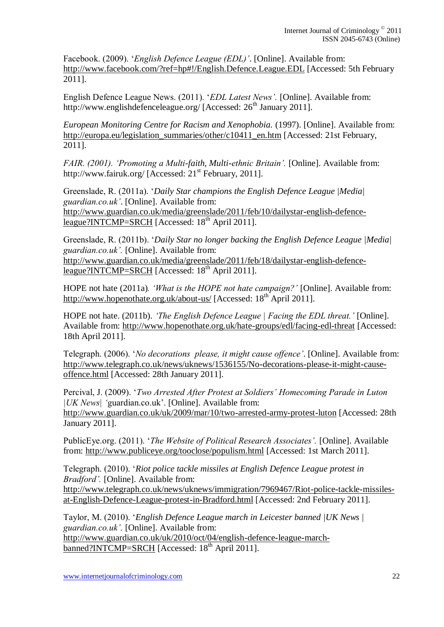Facebook. (2009). "*English Defence League (EDL)'*. [Online]. Available from: <http://www.facebook.com/?ref=hp#!/English.Defence.League.EDL> [Accessed: 5th February 2011].

English Defence League News. (2011). "*EDL Latest News'.* [Online]. Available from: http://www.englishdefenceleague.org/ [Accessed: 26<sup>th</sup> January 2011].

*European Monitoring Centre for Racism and Xenophobia.* (1997). [Online]. Available from: [http://europa.eu/legislation\\_summaries/other/c10411\\_en.htm](http://europa.eu/legislation_summaries/other/c10411_en.htm) [Accessed: 21st February, 2011].

*FAIR. (2001). 'Promoting a Multi-faith, Multi-ethnic Britain'.* [Online]. Available from: http://www.fairuk.org/ [Accessed:  $21<sup>st</sup>$  February, 2011].

Greenslade, R. (2011a). "*Daily Star champions the English Defence League |Media| guardian.co.uk'*. [Online]. Available from: [http://www.guardian.co.uk/media/greenslade/2011/feb/10/dailystar-english-defence](http://www.guardian.co.uk/media/greenslade/2011/feb/10/dailystar-english-defence-league?INTCMP=SRCH)[league?INTCMP=SRCH](http://www.guardian.co.uk/media/greenslade/2011/feb/10/dailystar-english-defence-league?INTCMP=SRCH) [Accessed: 18<sup>th</sup> April 2011].

Greenslade, R. (2011b). "*Daily Star no longer backing the English Defence League |Media| guardian.co.uk'.* [Online]. Available from: [http://www.guardian.co.uk/media/greenslade/2011/feb/18/dailystar-english-defence](http://www.guardian.co.uk/media/greenslade/2011/feb/18/dailystar-english-defence-league?INTCMP=SRCH)[league?INTCMP=SRCH](http://www.guardian.co.uk/media/greenslade/2011/feb/18/dailystar-english-defence-league?INTCMP=SRCH) [Accessed:  $18<sup>th</sup>$  April 2011].

HOPE not hate (2011a)*. 'What is the HOPE not hate campaign?'* [Online]. Available from: <http://www.hopenothate.org.uk/about-us/> [Accessed: 18<sup>th April 2011]</sup>.

HOPE not hate. (2011b). *'The English Defence League | Facing the EDL threat.'* [Online]. Available from:<http://www.hopenothate.org.uk/hate-groups/edl/facing-edl-threat> [Accessed: 18th April 2011].

Telegraph. (2006). "*No decorations please, it might cause offence'*. [Online]. Available from: [http://www.telegraph.co.uk/news/uknews/1536155/No-decorations-please-it-might-cause](http://www.telegraph.co.uk/news/uknews/1536155/No-decorations-please-it-might-cause-offence.html)[offence.html](http://www.telegraph.co.uk/news/uknews/1536155/No-decorations-please-it-might-cause-offence.html) [Accessed: 28th January 2011].

Percival, J. (2009). "*Two Arrested After Protest at Soldiers' Homecoming Parade in Luton |UK News| '*guardian.co.uk". [Online]. Available from: <http://www.guardian.co.uk/uk/2009/mar/10/two-arrested-army-protest-luton> [Accessed: 28th January 2011].

PublicEye.org. (2011). "*The Website of Political Research Associates'.* [Online]. Available from:<http://www.publiceye.org/tooclose/populism.html> [Accessed: 1st March 2011].

Telegraph. (2010). "*Riot police tackle missiles at English Defence League protest in Bradford'.* [Online]. Available from: [http://www.telegraph.co.uk/news/uknews/immigration/7969467/Riot-police-tackle-missiles](http://www.telegraph.co.uk/news/uknews/immigration/7969467/Riot-police-tackle-missiles-at-English-Defence-League-protest-in-Bradford.html)[at-English-Defence-League-protest-in-Bradford.html](http://www.telegraph.co.uk/news/uknews/immigration/7969467/Riot-police-tackle-missiles-at-English-Defence-League-protest-in-Bradford.html) [Accessed: 2nd February 2011].

Taylor, M. (2010). "*English Defence League march in Leicester banned |UK News | guardian.co.uk'.* [Online]. Available from: [http://www.guardian.co.uk/uk/2010/oct/04/english-defence-league-march](http://www.guardian.co.uk/uk/2010/oct/04/english-defence-league-march-banned?INTCMP=SRCH)[banned?INTCMP=SRCH](http://www.guardian.co.uk/uk/2010/oct/04/english-defence-league-march-banned?INTCMP=SRCH) [Accessed: 18<sup>th</sup> April 2011].